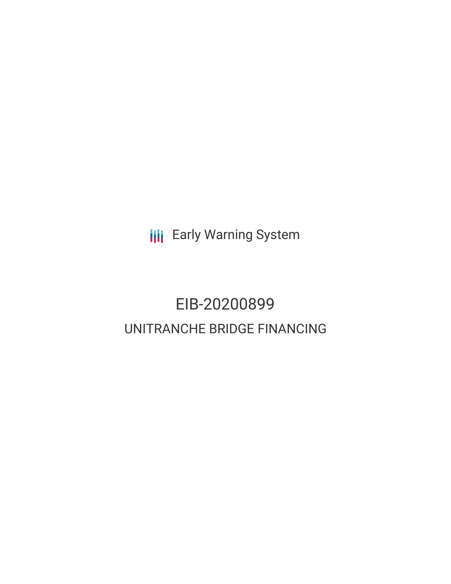**III** Early Warning System

# EIB-20200899 UNITRANCHE BRIDGE FINANCING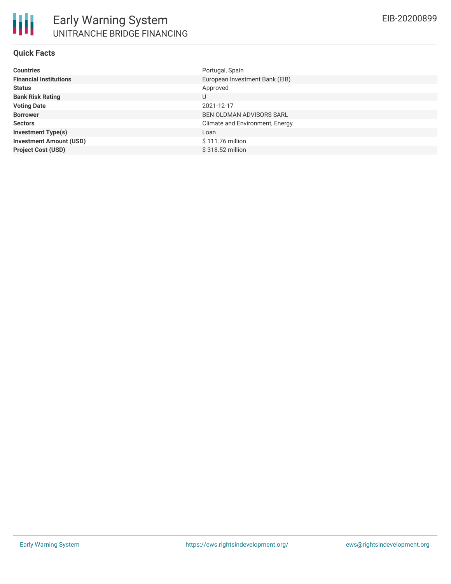

#### **Quick Facts**

| <b>Countries</b>               | Portugal, Spain                 |
|--------------------------------|---------------------------------|
| <b>Financial Institutions</b>  | European Investment Bank (EIB)  |
| <b>Status</b>                  | Approved                        |
| <b>Bank Risk Rating</b>        | U                               |
| <b>Voting Date</b>             | 2021-12-17                      |
| <b>Borrower</b>                | <b>BEN OLDMAN ADVISORS SARL</b> |
| <b>Sectors</b>                 | Climate and Environment, Energy |
| <b>Investment Type(s)</b>      | Loan                            |
| <b>Investment Amount (USD)</b> | \$111.76 million                |
| <b>Project Cost (USD)</b>      | \$318.52 million                |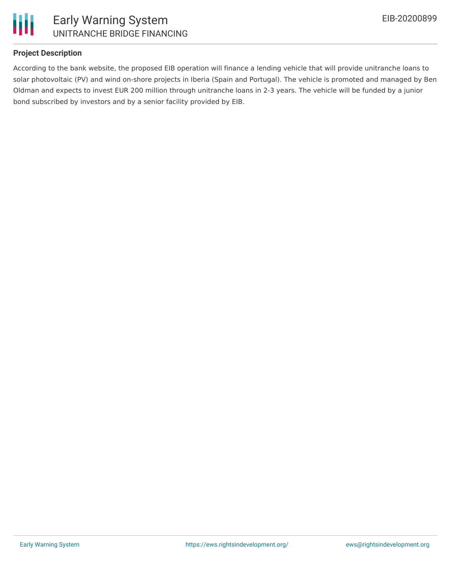

#### **Project Description**

According to the bank website, the proposed EIB operation will finance a lending vehicle that will provide unitranche loans to solar photovoltaic (PV) and wind on-shore projects in Iberia (Spain and Portugal). The vehicle is promoted and managed by Ben Oldman and expects to invest EUR 200 million through unitranche loans in 2-3 years. The vehicle will be funded by a junior bond subscribed by investors and by a senior facility provided by EIB.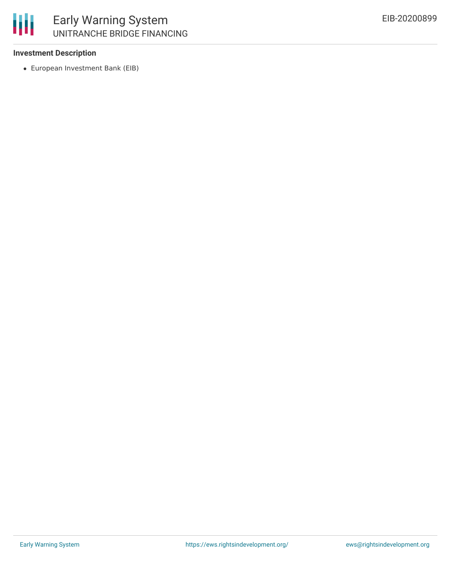

#### **Investment Description**

European Investment Bank (EIB)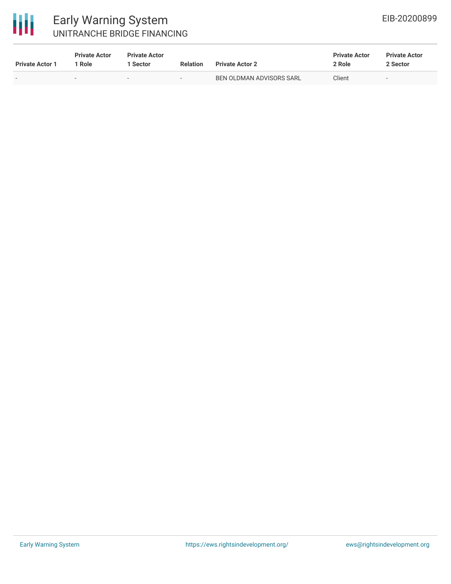# 冊

### Early Warning System UNITRANCHE BRIDGE FINANCING

| <b>Private Actor 1</b> | <b>Private Actor</b><br>1 Role | <b>Private Actor</b><br><b>Sector</b> | <b>Relation</b>          | <b>Private Actor 2</b>   | <b>Private Actor</b><br>2 Role | <b>Private Actor</b><br>2 Sector |
|------------------------|--------------------------------|---------------------------------------|--------------------------|--------------------------|--------------------------------|----------------------------------|
| $\sim$                 |                                | $\sim$                                | $\overline{\phantom{a}}$ | BEN OLDMAN ADVISORS SARL | Client                         | $\sim$                           |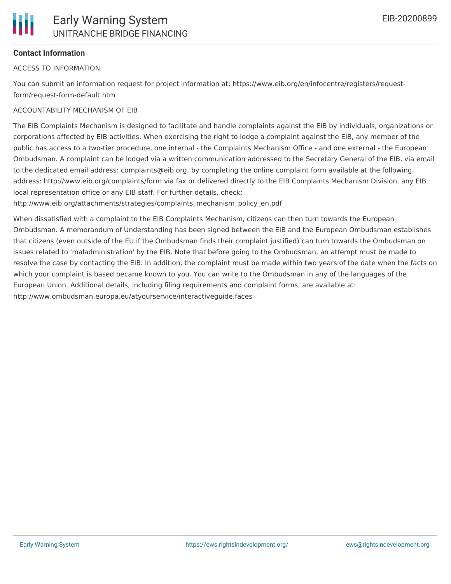#### **Contact Information**

#### ACCESS TO INFORMATION

You can submit an information request for project information at: https://www.eib.org/en/infocentre/registers/requestform/request-form-default.htm

#### ACCOUNTABILITY MECHANISM OF EIB

The EIB Complaints Mechanism is designed to facilitate and handle complaints against the EIB by individuals, organizations or corporations affected by EIB activities. When exercising the right to lodge a complaint against the EIB, any member of the public has access to a two-tier procedure, one internal - the Complaints Mechanism Office - and one external - the European Ombudsman. A complaint can be lodged via a written communication addressed to the Secretary General of the EIB, via email to the dedicated email address: complaints@eib.org, by completing the online complaint form available at the following address: http://www.eib.org/complaints/form via fax or delivered directly to the EIB Complaints Mechanism Division, any EIB local representation office or any EIB staff. For further details, check:

http://www.eib.org/attachments/strategies/complaints\_mechanism\_policy\_en.pdf

When dissatisfied with a complaint to the EIB Complaints Mechanism, citizens can then turn towards the European Ombudsman. A memorandum of Understanding has been signed between the EIB and the European Ombudsman establishes that citizens (even outside of the EU if the Ombudsman finds their complaint justified) can turn towards the Ombudsman on issues related to 'maladministration' by the EIB. Note that before going to the Ombudsman, an attempt must be made to resolve the case by contacting the EIB. In addition, the complaint must be made within two years of the date when the facts on which your complaint is based became known to you. You can write to the Ombudsman in any of the languages of the European Union. Additional details, including filing requirements and complaint forms, are available at: http://www.ombudsman.europa.eu/atyourservice/interactiveguide.faces